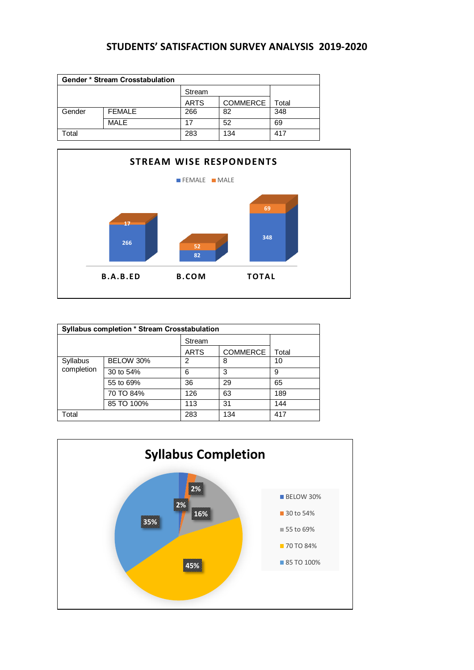## **STUDENTS' SATISFACTION SURVEY ANALYSIS 2019-2020**

|        | <b>Gender * Stream Crosstabulation</b> |             |                 |       |  |  |  |  |
|--------|----------------------------------------|-------------|-----------------|-------|--|--|--|--|
|        |                                        | Stream      |                 |       |  |  |  |  |
|        |                                        | <b>ARTS</b> | <b>COMMERCE</b> | Total |  |  |  |  |
| Gender | <b>FEMALE</b>                          | 266         | 82              | 348   |  |  |  |  |
|        | MALE                                   | 17          | 52              | 69    |  |  |  |  |
| Total  |                                        | 283         | 134             | 417   |  |  |  |  |



| <b>Syllabus completion * Stream Crosstabulation</b> |            |             |                 |       |  |  |  |
|-----------------------------------------------------|------------|-------------|-----------------|-------|--|--|--|
|                                                     |            | Stream      |                 |       |  |  |  |
|                                                     |            | <b>ARTS</b> | <b>COMMERCE</b> | Total |  |  |  |
| Syllabus<br>completion                              | BELOW 30%  | 2           | 8               | 10    |  |  |  |
|                                                     | 30 to 54%  | 6           | 3               | 9     |  |  |  |
|                                                     | 55 to 69%  | 36          | 29              | 65    |  |  |  |
|                                                     | 70 TO 84%  | 126         | 63              | 189   |  |  |  |
|                                                     | 85 TO 100% | 113         | 31              | 144   |  |  |  |
| Total                                               |            | 283         | 134             | 417   |  |  |  |

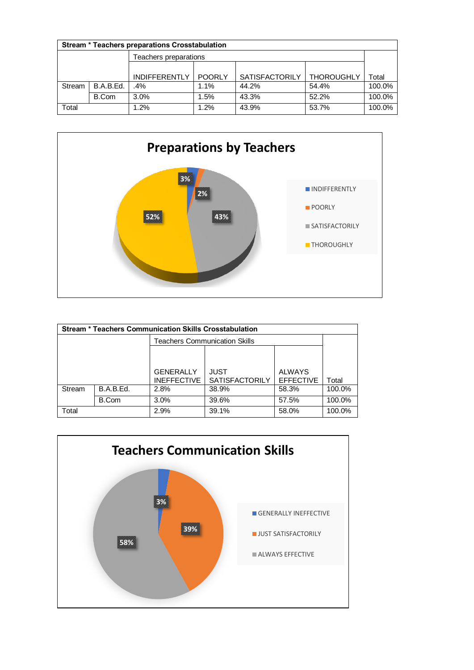| Stream * Teachers preparations Crosstabulation |           |                       |               |                       |                   |        |  |
|------------------------------------------------|-----------|-----------------------|---------------|-----------------------|-------------------|--------|--|
|                                                |           | Teachers preparations |               |                       |                   |        |  |
|                                                |           |                       |               |                       |                   |        |  |
|                                                |           | <b>INDIFFERENTLY</b>  | <b>POORLY</b> | <b>SATISFACTORILY</b> | <b>THOROUGHLY</b> | Total  |  |
| Stream                                         | B.A.B.Ed. | .4%                   | $1.1\%$       | 44.2%                 | 54.4%             | 100.0% |  |
|                                                | B.Com     | 3.0%                  | 1.5%          | 43.3%                 | 52.2%             | 100.0% |  |
| Total                                          |           | 1.2%                  | 1.2%          | 43.9%                 | 53.7%             | 100.0% |  |



|        | <b>Stream * Teachers Communication Skills Crosstabulation</b> |                                        |                                      |                                   |        |  |  |  |  |
|--------|---------------------------------------------------------------|----------------------------------------|--------------------------------------|-----------------------------------|--------|--|--|--|--|
|        |                                                               |                                        | <b>Teachers Communication Skills</b> |                                   |        |  |  |  |  |
|        |                                                               |                                        |                                      |                                   |        |  |  |  |  |
|        |                                                               | <b>GENERALLY</b><br><b>INEFFECTIVE</b> | JUST<br><b>SATISFACTORILY</b>        | <b>ALWAYS</b><br><b>EFFECTIVE</b> | Total  |  |  |  |  |
| Stream | B.A.B.Ed.                                                     | 2.8%                                   | 38.9%                                | 58.3%                             | 100.0% |  |  |  |  |
|        | B.Com                                                         | 3.0%                                   | 39.6%                                | 57.5%                             | 100.0% |  |  |  |  |
| Total  |                                                               | 2.9%                                   | 39.1%                                | 58.0%                             | 100.0% |  |  |  |  |

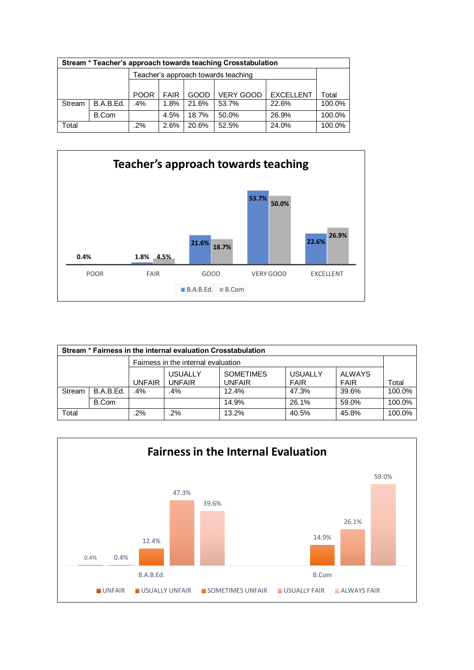|                                                 | Stream * Teacher's approach towards teaching Crosstabulation |             |             |        |                  |                  |        |  |  |
|-------------------------------------------------|--------------------------------------------------------------|-------------|-------------|--------|------------------|------------------|--------|--|--|
| Teacher's approach towards teaching             |                                                              |             |             |        |                  |                  |        |  |  |
|                                                 |                                                              | <b>POOR</b> | <b>FAIR</b> | GOOD   | <b>VERY GOOD</b> | <b>EXCELLENT</b> | Total  |  |  |
| Stream                                          | B.A.B.Ed.                                                    | $.4\%$      | 1.8%        | 21.6%  | 53.7%            | 22.6%            | 100.0% |  |  |
|                                                 | B.Com                                                        |             | 4.5%        | 18.7%  | 50.0%            | 26.9%            | 100.0% |  |  |
| 20.6%<br>2.6%<br>24.0%<br>Total<br>.2%<br>52.5% |                                                              |             |             | 100.0% |                  |                  |        |  |  |



| Stream * Fairness in the internal evaluation Crosstabulation |                                     |               |                                 |                                   |                               |                       |        |  |
|--------------------------------------------------------------|-------------------------------------|---------------|---------------------------------|-----------------------------------|-------------------------------|-----------------------|--------|--|
|                                                              | Fairness in the internal evaluation |               |                                 |                                   |                               |                       |        |  |
|                                                              |                                     | <b>UNFAIR</b> | <b>USUALLY</b><br><b>UNFAIR</b> | <b>SOMETIMES</b><br><b>UNFAIR</b> | <b>USUALLY</b><br><b>FAIR</b> | ALWAYS<br><b>FAIR</b> | Total  |  |
| Stream                                                       | B.A.B.Ed.                           | $.4\%$        | .4%                             | 12.4%                             | 47.3%                         | 39.6%                 | 100.0% |  |
|                                                              | B.Com                               |               |                                 | 14.9%                             | 26.1%                         | 59.0%                 | 100.0% |  |
| Total                                                        |                                     | .2%           | $.2\%$                          | 13.2%                             | 40.5%                         | 45.8%                 | 100.0% |  |

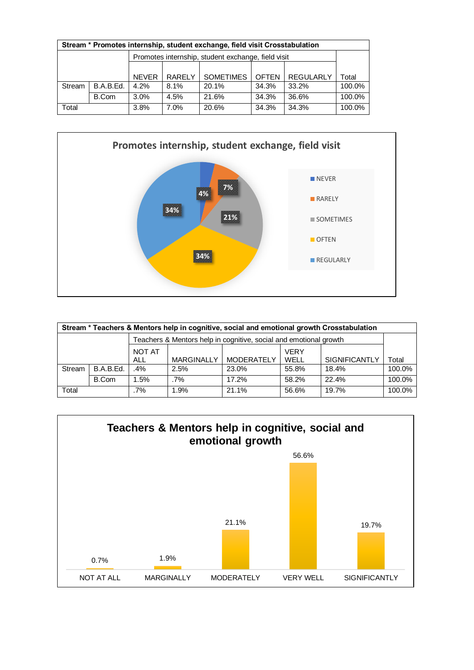| Stream * Promotes internship, student exchange, field visit Crosstabulation |           |              |        |                  |              |                  |        |  |
|-----------------------------------------------------------------------------|-----------|--------------|--------|------------------|--------------|------------------|--------|--|
| Promotes internship, student exchange, field visit                          |           |              |        |                  |              |                  |        |  |
|                                                                             |           |              |        |                  |              |                  |        |  |
|                                                                             |           | <b>NEVER</b> | RARELY | <b>SOMETIMES</b> | <b>OFTEN</b> | <b>REGULARLY</b> | Total  |  |
| Stream                                                                      | B.A.B.Ed. | 4.2%         | 8.1%   | 20.1%            | 34.3%        | 33.2%            | 100.0% |  |
|                                                                             | B.Com     | 3.0%         | 4.5%   | 21.6%            | 34.3%        | 36.6%            | 100.0% |  |
| Total<br>34.3%<br>34.3%<br>3.8%<br>20.6%<br>7.0%                            |           |              |        |                  | 100.0%       |                  |        |  |



| Stream * Teachers & Mentors help in cognitive, social and emotional growth Crosstabulation |           |            |                   |                                                                   |             |                      |        |  |  |
|--------------------------------------------------------------------------------------------|-----------|------------|-------------------|-------------------------------------------------------------------|-------------|----------------------|--------|--|--|
|                                                                                            |           |            |                   | Teachers & Mentors help in cognitive, social and emotional growth |             |                      |        |  |  |
|                                                                                            |           | NOT AT     |                   |                                                                   | <b>VERY</b> |                      |        |  |  |
|                                                                                            |           | <b>ALL</b> | <b>MARGINALLY</b> | <b>MODERATELY</b>                                                 | WELL        | <b>SIGNIFICANTLY</b> | Total  |  |  |
| <b>Stream</b>                                                                              | B.A.B.Ed. | $.4\%$     | 2.5%              | 23.0%                                                             | 55.8%       | 18.4%                | 100.0% |  |  |
|                                                                                            | B.Com     | $.5\%$     | .7%               | 17.2%                                                             | 58.2%       | 22.4%                | 100.0% |  |  |
| Total                                                                                      |           | .7%        | 1.9%              | 21.1%                                                             | 56.6%       | 19.7%                | 100.0% |  |  |

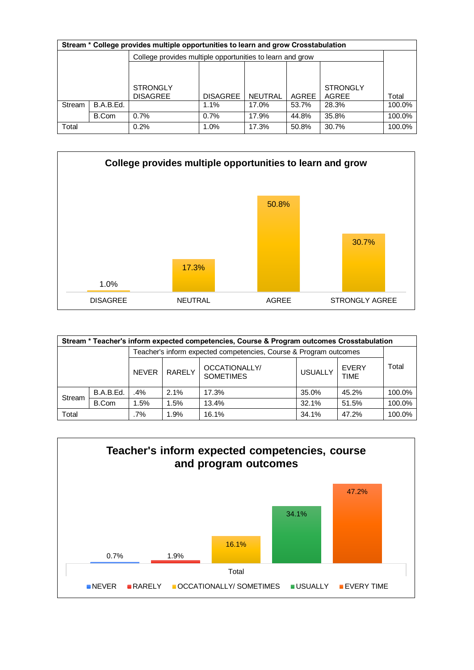|        |                                                           | Stream * College provides multiple opportunities to learn and grow Crosstabulation |                 |                |       |                 |        |
|--------|-----------------------------------------------------------|------------------------------------------------------------------------------------|-----------------|----------------|-------|-----------------|--------|
|        | College provides multiple opportunities to learn and grow |                                                                                    |                 |                |       |                 |        |
|        |                                                           |                                                                                    |                 |                |       |                 |        |
|        |                                                           |                                                                                    |                 |                |       |                 |        |
|        |                                                           | <b>STRONGLY</b>                                                                    |                 |                |       | <b>STRONGLY</b> |        |
|        |                                                           | <b>DISAGREE</b>                                                                    | <b>DISAGREE</b> | <b>NEUTRAL</b> | AGREE | <b>AGREE</b>    | Total  |
| Stream | B.A.B.Ed.                                                 |                                                                                    | 1.1%            | 17.0%          | 53.7% | 28.3%           | 100.0% |
|        | B.Com                                                     | 0.7%                                                                               | 0.7%            | 17.9%          | 44.8% | 35.8%           | 100.0% |
| Total  |                                                           | 0.2%                                                                               | 1.0%            | 17.3%          | 50.8% | 30.7%           | 100.0% |



| Stream * Teacher's inform expected competencies, Course & Program outcomes Crosstabulation |           |              |                                                                   |                                   |                |                             |        |  |
|--------------------------------------------------------------------------------------------|-----------|--------------|-------------------------------------------------------------------|-----------------------------------|----------------|-----------------------------|--------|--|
|                                                                                            |           |              | Teacher's inform expected competencies, Course & Program outcomes |                                   |                |                             |        |  |
|                                                                                            |           | <b>NEVER</b> | RARELY                                                            | OCCATIONALLY/<br><b>SOMETIMES</b> | <b>USUALLY</b> | <b>EVERY</b><br><b>TIME</b> | Total  |  |
| Stream                                                                                     | B.A.B.Ed. | $.4\%$       | 2.1%                                                              | 17.3%                             | 35.0%          | 45.2%                       | 100.0% |  |
|                                                                                            | B.Com     | 1.5%         | 1.5%                                                              | 13.4%                             | 32.1%          | 51.5%                       | 100.0% |  |
| Total<br>16.1%<br>34.1%<br>47.2%<br>$.7\%$<br>1.9%                                         |           |              |                                                                   | 100.0%                            |                |                             |        |  |

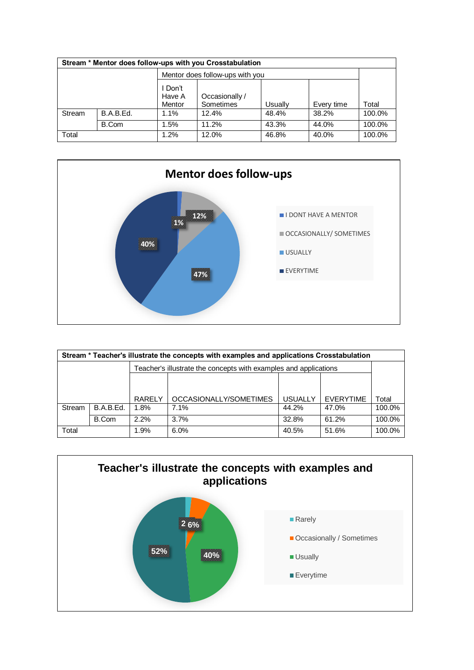|        | Stream * Mentor does follow-ups with you Crosstabulation |                             |                             |         |            |        |  |  |  |
|--------|----------------------------------------------------------|-----------------------------|-----------------------------|---------|------------|--------|--|--|--|
|        | Mentor does follow-ups with you                          |                             |                             |         |            |        |  |  |  |
|        |                                                          | I Don't<br>Have A<br>Mentor | Occasionally /<br>Sometimes | Usually | Every time | Total  |  |  |  |
| Stream | B.A.B.Ed.                                                | 1.1%                        | 12.4%                       | 48.4%   | 38.2%      | 100.0% |  |  |  |
|        | B.Com                                                    | 1.5%                        | 11.2%                       | 43.3%   | 44.0%      | 100.0% |  |  |  |
| Total  |                                                          | 1.2%                        | 12.0%                       | 46.8%   | 40.0%      | 100.0% |  |  |  |



| Stream * Teacher's illustrate the concepts with examples and applications Crosstabulation |           |        |                                                                  |         |                  |        |  |  |
|-------------------------------------------------------------------------------------------|-----------|--------|------------------------------------------------------------------|---------|------------------|--------|--|--|
|                                                                                           |           |        | Teacher's illustrate the concepts with examples and applications |         |                  |        |  |  |
|                                                                                           |           |        |                                                                  |         |                  |        |  |  |
|                                                                                           |           |        |                                                                  |         |                  |        |  |  |
|                                                                                           |           | RARELY | OCCASIONALLY/SOMETIMES                                           | USUALLY | <b>EVERYTIME</b> | Total  |  |  |
| Stream                                                                                    | B.A.B.Ed. | 1.8%   | 7.1%                                                             | 44.2%   | 47.0%            | 100.0% |  |  |
|                                                                                           | B.Com     | 2.2%   | 3.7%                                                             | 32.8%   | 61.2%            | 100.0% |  |  |
| Total                                                                                     |           | 1.9%   | 6.0%                                                             | 40.5%   | 51.6%            | 100.0% |  |  |

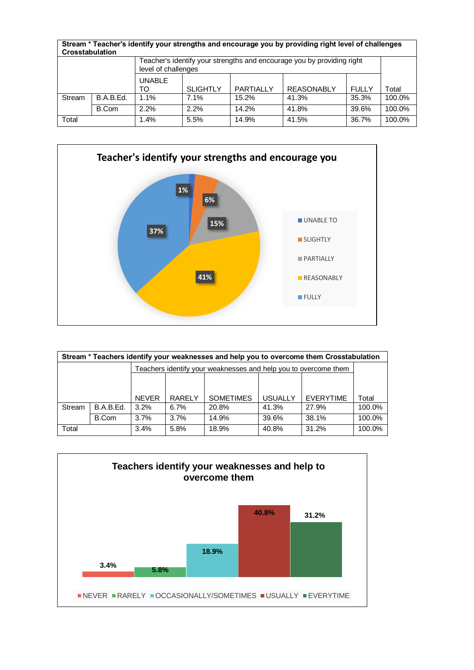| Stream * Teacher's identify your strengths and encourage you by providing right level of challenges<br><b>Crosstabulation</b> |           |                     |                 |           |                   |              |        |  |  |
|-------------------------------------------------------------------------------------------------------------------------------|-----------|---------------------|-----------------|-----------|-------------------|--------------|--------|--|--|
| Teacher's identify your strengths and encourage you by providing right<br>level of challenges                                 |           |                     |                 |           |                   |              |        |  |  |
|                                                                                                                               |           | <b>UNABLE</b><br>TO | <b>SLIGHTLY</b> | PARTIALLY | <b>REASONABLY</b> | <b>FULLY</b> | Total  |  |  |
| Stream                                                                                                                        | B.A.B.Ed. | 1.1%                | 7.1%            | 15.2%     | 41.3%             | 35.3%        | 100.0% |  |  |
|                                                                                                                               | B.Com     | 2.2%                | 2.2%            | 14.2%     | 41.8%             | 39.6%        | 100.0% |  |  |
| Total                                                                                                                         |           | 1.4%                | 5.5%            | 14.9%     | 41.5%             | 36.7%        | 100.0% |  |  |



| Stream * Teachers identify your weaknesses and help you to overcome them Crosstabulation |           |              |               |                  |                |                  |        |  |
|------------------------------------------------------------------------------------------|-----------|--------------|---------------|------------------|----------------|------------------|--------|--|
| Teachers identify your weaknesses and help you to overcome them                          |           |              |               |                  |                |                  |        |  |
|                                                                                          |           |              |               |                  |                |                  |        |  |
|                                                                                          |           |              |               |                  |                |                  |        |  |
|                                                                                          |           | <b>NEVER</b> | <b>RARELY</b> | <b>SOMETIMES</b> | <b>USUALLY</b> | <b>EVERYTIME</b> | Total  |  |
| Stream                                                                                   | B.A.B.Ed. | 3.2%         | 6.7%          | 20.8%            | 41.3%          | 27.9%            | 100.0% |  |
|                                                                                          | B.Com     | 3.7%         | 3.7%          | 14.9%            | 39.6%          | 38.1%            | 100.0% |  |
| Total                                                                                    |           | 3.4%         | 5.8%          | 18.9%            | 40.8%          | 31.2%            | 100.0% |  |

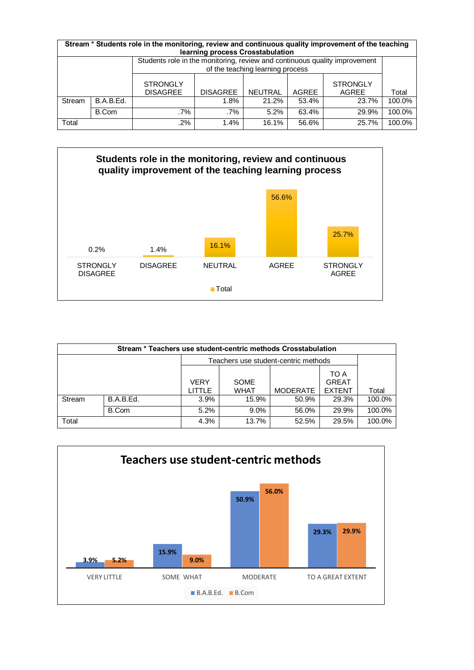| Stream * Students role in the monitoring, review and continuous quality improvement of the teaching<br>learning process Crosstabulation |           |                                    |                 |                |       |                                 |        |  |  |
|-----------------------------------------------------------------------------------------------------------------------------------------|-----------|------------------------------------|-----------------|----------------|-------|---------------------------------|--------|--|--|
| Students role in the monitoring, review and continuous quality improvement<br>of the teaching learning process                          |           |                                    |                 |                |       |                                 |        |  |  |
|                                                                                                                                         |           | <b>STRONGLY</b><br><b>DISAGREE</b> | <b>DISAGREE</b> | <b>NEUTRAL</b> | AGREE | <b>STRONGLY</b><br><b>AGREE</b> | Total  |  |  |
| Stream                                                                                                                                  | B.A.B.Ed. |                                    | 1.8%            | 21.2%          | 53.4% | 23.7%                           | 100.0% |  |  |
|                                                                                                                                         | B.Com     | $.7\%$                             | .7%             | 5.2%           | 63.4% | 29.9%                           | 100.0% |  |  |
| Total                                                                                                                                   |           | .2%                                | 1.4%            | 16.1%          | 56.6% | 25.7%                           | 100.0% |  |  |



| Stream * Teachers use student-centric methods Crosstabulation |           |                |                            |                 |                                       |        |  |
|---------------------------------------------------------------|-----------|----------------|----------------------------|-----------------|---------------------------------------|--------|--|
| Teachers use student-centric methods                          |           |                |                            |                 |                                       |        |  |
|                                                               |           | VERY<br>LITTLE | <b>SOME</b><br><b>WHAT</b> | <b>MODERATE</b> | TO A<br><b>GREAT</b><br><b>EXTENT</b> | Total  |  |
| Stream                                                        | B.A.B.Ed. | 3.9%           | 15.9%                      | 50.9%           | 29.3%                                 | 100.0% |  |
|                                                               | B.Com     | 5.2%           | 9.0%                       | 56.0%           | 29.9%                                 | 100.0% |  |
| Total                                                         |           | 4.3%           | 13.7%                      | 52.5%           | 29.5%                                 | 100.0% |  |

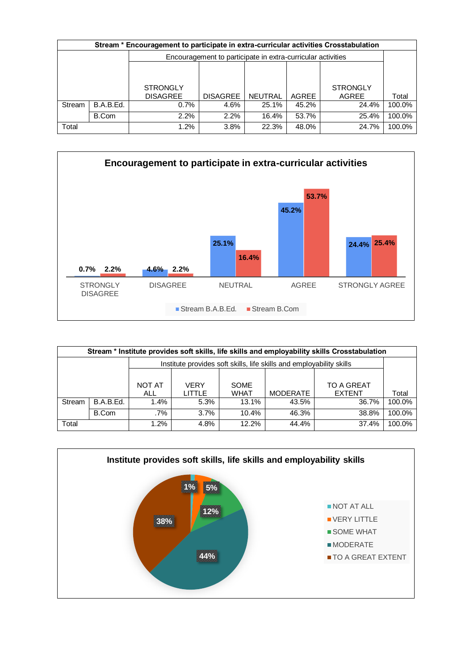| Stream * Encouragement to participate in extra-curricular activities Crosstabulation |           |                 |                                                             |                |       |                 |        |  |
|--------------------------------------------------------------------------------------|-----------|-----------------|-------------------------------------------------------------|----------------|-------|-----------------|--------|--|
|                                                                                      |           |                 | Encouragement to participate in extra-curricular activities |                |       |                 |        |  |
|                                                                                      |           |                 |                                                             |                |       |                 |        |  |
|                                                                                      |           |                 |                                                             |                |       |                 |        |  |
|                                                                                      |           | <b>STRONGLY</b> |                                                             |                |       | <b>STRONGLY</b> |        |  |
|                                                                                      |           | <b>DISAGREE</b> | <b>DISAGREE</b>                                             | <b>NEUTRAL</b> | AGREE | AGREE           | Total  |  |
| Stream                                                                               | B.A.B.Ed. | 0.7%            | 4.6%                                                        | 25.1%          | 45.2% | 24.4%           | 100.0% |  |
|                                                                                      | B.Com     | 2.2%            | 2.2%                                                        | 16.4%          | 53.7% | 25.4%           | 100.0% |  |
| Total                                                                                |           | 1.2%            | 3.8%                                                        | 22.3%          | 48.0% | 24.7%           | 100.0% |  |



| Stream * Institute provides soft skills, life skills and employability skills Crosstabulation |           |               |        |             |                                                                      |               |        |  |  |
|-----------------------------------------------------------------------------------------------|-----------|---------------|--------|-------------|----------------------------------------------------------------------|---------------|--------|--|--|
|                                                                                               |           |               |        |             | Institute provides soft skills, life skills and employability skills |               |        |  |  |
|                                                                                               |           |               |        |             |                                                                      |               |        |  |  |
|                                                                                               |           | <b>NOT AT</b> | VERY   | <b>SOME</b> |                                                                      | TO A GREAT    |        |  |  |
|                                                                                               |           | <b>ALL</b>    | LITTLE | <b>WHAT</b> | MODERATE                                                             | <b>EXTENT</b> | Total  |  |  |
| Stream                                                                                        | B.A.B.Ed. | 1.4%          | 5.3%   | 13.1%       | 43.5%                                                                | 36.7%         | 100.0% |  |  |
|                                                                                               | B.Com     | $.7\%$        | 3.7%   | 10.4%       | 46.3%                                                                | 38.8%         | 100.0% |  |  |
| Total                                                                                         |           | 1.2%          | 4.8%   | 12.2%       | 44.4%                                                                | 37.4%         | 100.0% |  |  |